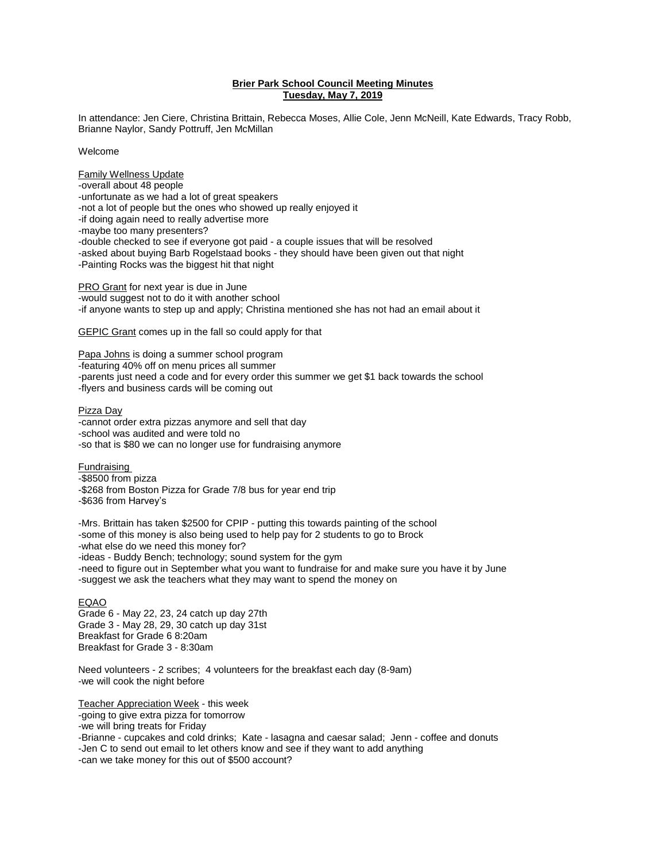## **Brier Park School Council Meeting Minutes Tuesday, May 7, 2019**

In attendance: Jen Ciere, Christina Brittain, Rebecca Moses, Allie Cole, Jenn McNeill, Kate Edwards, Tracy Robb, Brianne Naylor, Sandy Pottruff, Jen McMillan

Welcome

Family Wellness Update -overall about 48 people -unfortunate as we had a lot of great speakers -not a lot of people but the ones who showed up really enjoyed it -if doing again need to really advertise more -maybe too many presenters? -double checked to see if everyone got paid - a couple issues that will be resolved -asked about buying Barb Rogelstaad books - they should have been given out that night -Painting Rocks was the biggest hit that night

PRO Grant for next year is due in June -would suggest not to do it with another school -if anyone wants to step up and apply; Christina mentioned she has not had an email about it

GEPIC Grant comes up in the fall so could apply for that

Papa Johns is doing a summer school program -featuring 40% off on menu prices all summer -parents just need a code and for every order this summer we get \$1 back towards the school -flyers and business cards will be coming out

Pizza Day

-cannot order extra pizzas anymore and sell that day -school was audited and were told no -so that is \$80 we can no longer use for fundraising anymore

**Fundraising** -\$8500 from pizza -\$268 from Boston Pizza for Grade 7/8 bus for year end trip -\$636 from Harvey's

-Mrs. Brittain has taken \$2500 for CPIP - putting this towards painting of the school -some of this money is also being used to help pay for 2 students to go to Brock -what else do we need this money for? -ideas - Buddy Bench; technology; sound system for the gym -need to figure out in September what you want to fundraise for and make sure you have it by June -suggest we ask the teachers what they may want to spend the money on

EQAO

Grade 6 - May 22, 23, 24 catch up day 27th Grade 3 - May 28, 29, 30 catch up day 31st Breakfast for Grade 6 8:20am Breakfast for Grade 3 - 8:30am

Need volunteers - 2 scribes; 4 volunteers for the breakfast each day (8-9am) -we will cook the night before

Teacher Appreciation Week - this week -going to give extra pizza for tomorrow -we will bring treats for Friday -Brianne - cupcakes and cold drinks; Kate - lasagna and caesar salad; Jenn - coffee and donuts -Jen C to send out email to let others know and see if they want to add anything -can we take money for this out of \$500 account?